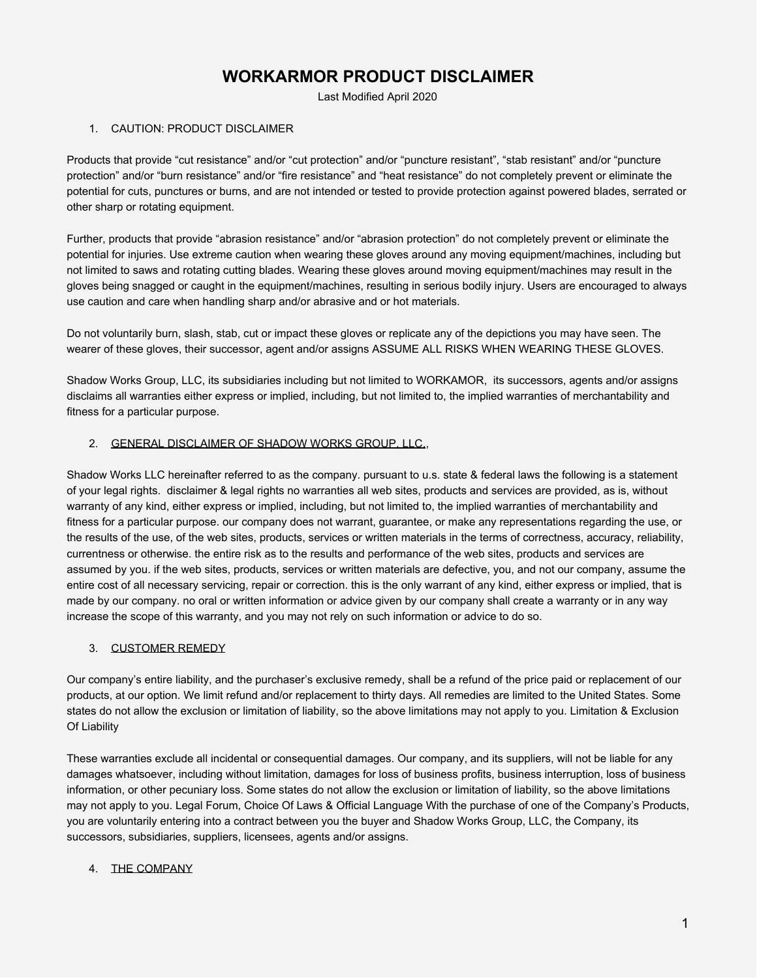# **WORKARMOR PRODUCT DISCLAIMER**

Last Modified April 2020

## 1. CAUTION: PRODUCT DISCLAIMER

Products that provide "cut resistance" and/or "cut protection" and/or "puncture resistant", "stab resistant" and/or "puncture protection" and/or "burn resistance" and/or "fire resistance" and "heat resistance" do not completely prevent or eliminate the potential for cuts, punctures or burns, and are not intended or tested to provide protection against powered blades, serrated or other sharp or rotating equipment.

Further, products that provide "abrasion resistance" and/or "abrasion protection" do not completely prevent or eliminate the potential for injuries. Use extreme caution when wearing these gloves around any moving equipment/machines, including but not limited to saws and rotating cutting blades. Wearing these gloves around moving equipment/machines may result in the gloves being snagged or caught in the equipment/machines, resulting in serious bodily injury. Users are encouraged to always use caution and care when handling sharp and/or abrasive and or hot materials.

Do not voluntarily burn, slash, stab, cut or impact these gloves or replicate any of the depictions you may have seen. The wearer of these gloves, their successor, agent and/or assigns ASSUME ALL RISKS WHEN WEARING THESE GLOVES.

Shadow Works Group, LLC, its subsidiaries including but not limited to WORKAMOR, its successors, agents and/or assigns disclaims all warranties either express or implied, including, but not limited to, the implied warranties of merchantability and fitness for a particular purpose.

### 2. GENERAL DISCLAIMER OF SHADOW WORKS GROUP, LLC.,

Shadow Works LLC hereinafter referred to as the company. pursuant to u.s. state & federal laws the following is a statement of your legal rights. disclaimer & legal rights no warranties all web sites, products and services are provided, as is, without warranty of any kind, either express or implied, including, but not limited to, the implied warranties of merchantability and fitness for a particular purpose. our company does not warrant, guarantee, or make any representations regarding the use, or the results of the use, of the web sites, products, services or written materials in the terms of correctness, accuracy, reliability, currentness or otherwise. the entire risk as to the results and performance of the web sites, products and services are assumed by you. if the web sites, products, services or written materials are defective, you, and not our company, assume the entire cost of all necessary servicing, repair or correction. this is the only warrant of any kind, either express or implied, that is made by our company. no oral or written information or advice given by our company shall create a warranty or in any way increase the scope of this warranty, and you may not rely on such information or advice to do so.

### 3. CUSTOMER REMEDY

Our company's entire liability, and the purchaser's exclusive remedy, shall be a refund of the price paid or replacement of our products, at our option. We limit refund and/or replacement to thirty days. All remedies are limited to the United States. Some states do not allow the exclusion or limitation of liability, so the above limitations may not apply to you. Limitation & Exclusion Of Liability

These warranties exclude all incidental or consequential damages. Our company, and its suppliers, will not be liable for any damages whatsoever, including without limitation, damages for loss of business profits, business interruption, loss of business information, or other pecuniary loss. Some states do not allow the exclusion or limitation of liability, so the above limitations may not apply to you. Legal Forum, Choice Of Laws & Official Language With the purchase of one of the Company's Products, you are voluntarily entering into a contract between you the buyer and Shadow Works Group, LLC, the Company, its successors, subsidiaries, suppliers, licensees, agents and/or assigns.

### 4. THE COMPANY